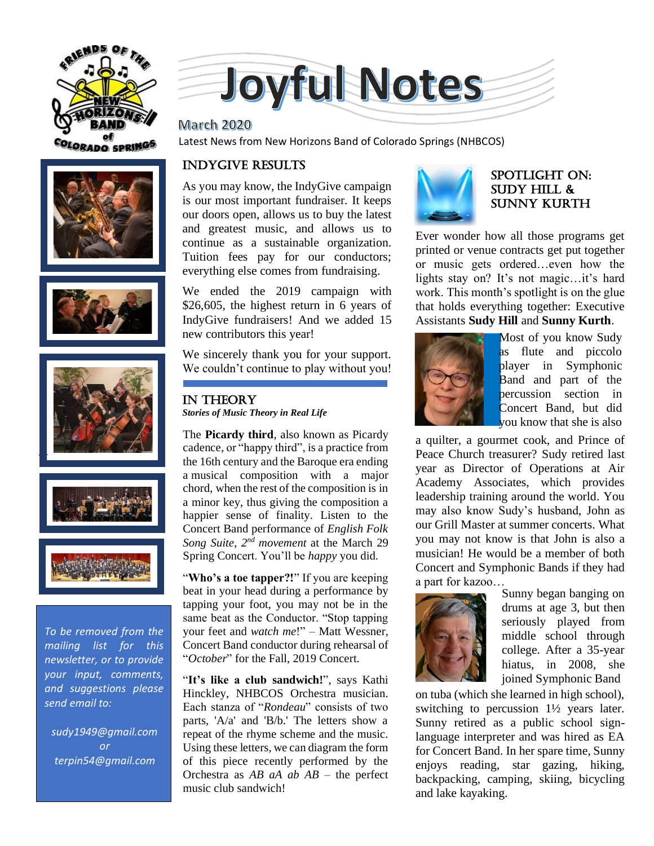









*To be removed from the mailing list for this newsletter, or to provide your input, comments, and suggestions please send email to:*

*sudy1949@gmail.com or terpin54@gmail.com*



#### **March 2020**

**OLORADO SPRINGS** Latest News from New Horizons Band of Colorado Springs (NHBCOS)

## INDYGIVE RESULTS

As you may know, the IndyGive campaign is our most important fundraiser. It keeps our doors open, allows us to buy the latest and greatest music, and allows us to continue as a sustainable organization. Tuition fees pay for our conductors; everything else comes from fundraising.

We ended the 2019 campaign with \$26,605, the highest return in 6 years of IndyGive fundraisers! And we added 15 new contributors this year!

We sincerely thank you for your support. We couldn't continue to play without you!

### In theory *Stories of Music Theory in Real Life*

The **Picardy third**, also known as Picardy cadence, or "happy third", is a practice from the 16th century and the Baroque era ending a musical composition with a major chord, when the rest of the composition is in a minor key, thus giving the composition a happier sense of finality. Listen to the Concert Band performance of *English Folk*  Song Suite, 2<sup>nd</sup> movement at the March 29 Spring Concert. You'll be *happy* you did.

"Who's a toe tapper?!" If you are keeping beat in your head during a performance by tapping your foot, you may not be in the same beat as the Conductor. "Stop tapping your feet and *watch me*!" – Matt Wessner, Concert Band conductor during rehearsal of "*October*" for the Fall, 2019 Concert.

"**It's like a club sandwich!**", says Kathi Hinckley, NHBCOS Orchestra musician. Each stanza of "*Rondeau*" consists of two parts, 'A/a' and 'B/b.' The letters show a repeat of the rhyme scheme and the music. Using these letters, we can diagram the form of this piece recently performed by the Orchestra as *AB aA ab AB* – the perfect music club sandwich!



### SPOTLIGHT on: SUDY HILL & Sunny kurth

Ever wonder how all those programs get printed or venue contracts get put together or music gets ordered…even how the lights stay on? It's not magic…it's hard work. This month's spotlight is on the glue that holds everything together: Executive Assistants **Sudy Hill** and **Sunny Kurth**.



Most of you know Sudy as flute and piccolo player in Symphonic Band and part of the percussion section in Concert Band, but did you know that she is also

a quilter, a gourmet cook, and Prince of Peace Church treasurer? Sudy retired last year as Director of Operations at Air Academy Associates, which provides leadership training around the world. You may also know Sudy's husband, John as our Grill Master at summer concerts. What you may not know is that John is also a musician! He would be a member of both Concert and Symphonic Bands if they had a part for kazoo…



Sunny began banging on drums at age 3, but then seriously played from middle school through college. After a 35-year hiatus, in 2008, she joined Symphonic Band

on tuba (which she learned in high school), switching to percussion 1½ years later. Sunny retired as a public school signlanguage interpreter and was hired as EA for Concert Band. In her spare time, Sunny enjoys reading, star gazing, hiking, backpacking, camping, skiing, bicycling and lake kayaking.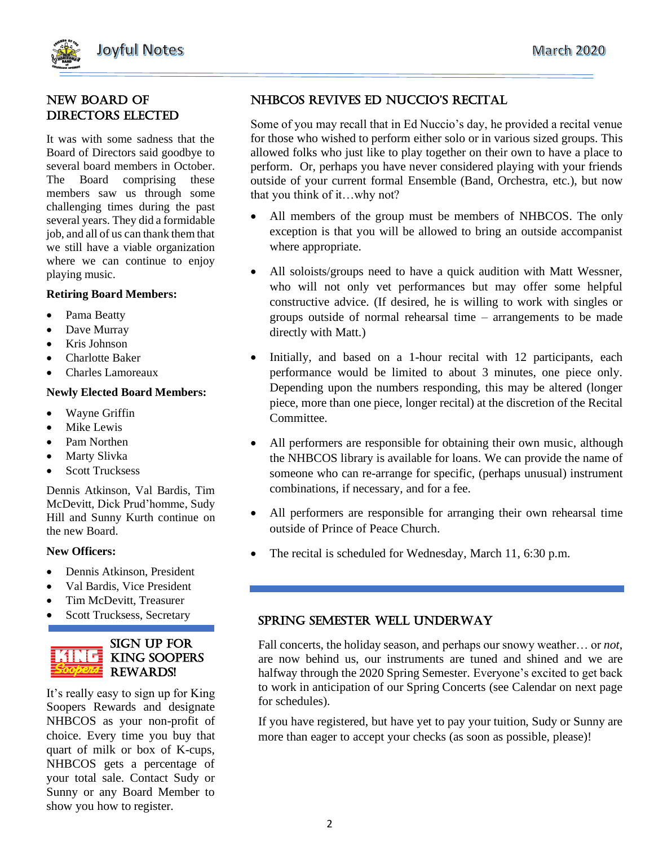

## New Board of Directors Elected

It was with some sadness that the Board of Directors said goodbye to several board members in October. The Board comprising these members saw us through some challenging times during the past several years. They did a formidable job, and all of us can thank them that we still have a viable organization where we can continue to enjoy playing music.

#### **Retiring Board Members:**

- Pama Beatty
- Dave Murray
- Kris Johnson
- Charlotte Baker
- Charles Lamoreaux

#### **Newly Elected Board Members:**

- Wayne Griffin
- Mike Lewis
- Pam Northen
- Marty Slivka
- Scott Trucksess

Dennis Atkinson, Val Bardis, Tim McDevitt, Dick Prud'homme, Sudy Hill and Sunny Kurth continue on the new Board.

#### **New Officers:**

- Dennis Atkinson, President
- Val Bardis, Vice President
- Tim McDevitt, Treasurer
- Scott Trucksess, Secretary



It's really easy to sign up for King Soopers Rewards and designate NHBCOS as your non-profit of choice. Every time you buy that quart of milk or box of K-cups, NHBCOS gets a percentage of your total sale. Contact Sudy or Sunny or any Board Member to show you how to register.

# NHBCOS ReviveS ed NuCCiO'S ReCital

Some of you may recall that in Ed Nuccio's day, he provided a recital venue for those who wished to perform either solo or in various sized groups. This allowed folks who just like to play together on their own to have a place to perform. Or, perhaps you have never considered playing with your friends outside of your current formal Ensemble (Band, Orchestra, etc.), but now that you think of it…why not?

- All members of the group must be members of NHBCOS. The only exception is that you will be allowed to bring an outside accompanist where appropriate.
- All soloists/groups need to have a quick audition with Matt Wessner, who will not only vet performances but may offer some helpful constructive advice. (If desired, he is willing to work with singles or groups outside of normal rehearsal time – arrangements to be made directly with Matt.)
- Initially, and based on a 1-hour recital with 12 participants, each performance would be limited to about 3 minutes, one piece only. Depending upon the numbers responding, this may be altered (longer piece, more than one piece, longer recital) at the discretion of the Recital Committee.
- All performers are responsible for obtaining their own music, although the NHBCOS library is available for loans. We can provide the name of someone who can re-arrange for specific, (perhaps unusual) instrument combinations, if necessary, and for a fee.
- All performers are responsible for arranging their own rehearsal time outside of Prince of Peace Church.
- The recital is scheduled for Wednesday, March 11, 6:30 p.m.

### Spring Semester well underway

Fall concerts, the holiday season, and perhaps our snowy weather… or *not*, are now behind us, our instruments are tuned and shined and we are halfway through the 2020 Spring Semester. Everyone's excited to get back to work in anticipation of our Spring Concerts (see Calendar on next page for schedules).

If you have registered, but have yet to pay your tuition, Sudy or Sunny are more than eager to accept your checks (as soon as possible, please)!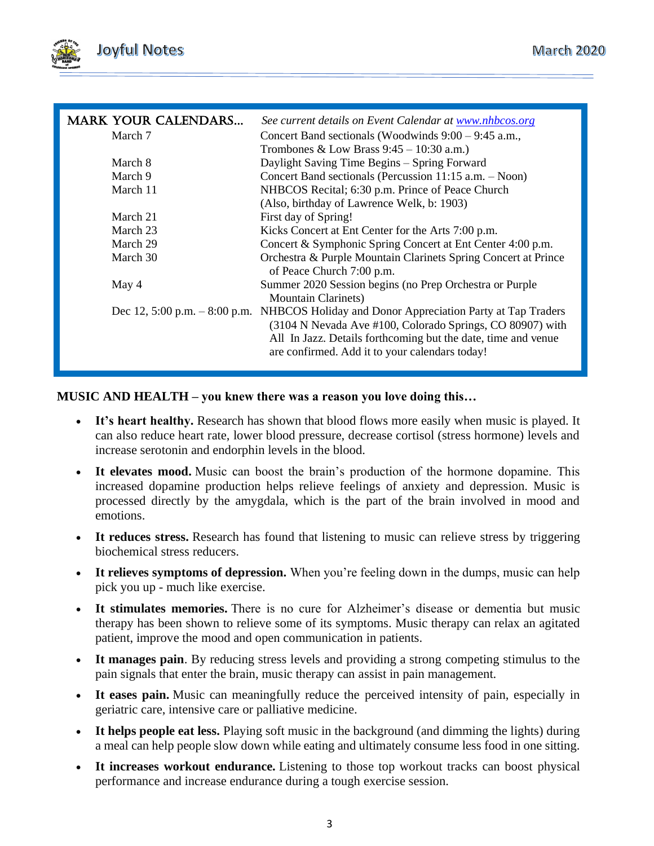

| <b>MARK YOUR CALENDARS</b>     | See current details on Event Calendar at www.nhbcos.org        |
|--------------------------------|----------------------------------------------------------------|
| March 7                        | Concert Band sectionals (Woodwinds $9:00 - 9:45$ a.m.,         |
|                                | Trombones & Low Brass $9:45 - 10:30$ a.m.)                     |
| March 8                        | Daylight Saving Time Begins – Spring Forward                   |
| March 9                        | Concert Band sectionals (Percussion 11:15 a.m. - Noon)         |
| March 11                       | NHBCOS Recital; 6:30 p.m. Prince of Peace Church               |
|                                | (Also, birthday of Lawrence Welk, b: 1903)                     |
| March 21                       | First day of Spring!                                           |
| March 23                       | Kicks Concert at Ent Center for the Arts 7:00 p.m.             |
| March 29                       | Concert & Symphonic Spring Concert at Ent Center 4:00 p.m.     |
| March 30                       | Orchestra & Purple Mountain Clarinets Spring Concert at Prince |
|                                | of Peace Church 7:00 p.m.                                      |
| May 4                          | Summer 2020 Session begins (no Prep Orchestra or Purple        |
|                                | <b>Mountain Clarinets</b> )                                    |
| Dec 12, 5:00 p.m. $-8:00$ p.m. | NHBCOS Holiday and Donor Appreciation Party at Tap Traders     |
|                                | (3104 N Nevada Ave #100, Colorado Springs, CO 80907) with      |
|                                | All In Jazz. Details forthcoming but the date, time and venue  |
|                                | are confirmed. Add it to your calendars today!                 |
|                                |                                                                |

### **MUSIC AND HEALTH – you knew there was a reason you love doing this…**

- It's heart healthy. Research has shown that blood flows more easily when music is played. It can also reduce heart rate, lower blood pressure, decrease cortisol (stress hormone) levels and increase serotonin and endorphin levels in the blood.
- **It elevates mood.** Music can boost the brain's production of the hormone dopamine. This increased dopamine production helps relieve feelings of anxiety and depression. Music is processed directly by the amygdala, which is the part of the brain involved in mood and emotions.
- **It reduces stress.** Research has found that listening to music can relieve stress by triggering biochemical stress reducers.
- It relieves symptoms of depression. When you're feeling down in the dumps, music can help pick you up - much like exercise.
- **It stimulates memories.** There is no cure for Alzheimer's disease or dementia but music therapy has been shown to relieve some of its symptoms. Music therapy can relax an agitated patient, improve the mood and open communication in patients.
- **It manages pain**. By reducing stress levels and providing a strong competing stimulus to the pain signals that enter the brain, music therapy can assist in pain management.
- **It eases pain.** Music can meaningfully reduce the perceived intensity of pain, especially in geriatric care, intensive care or palliative medicine.
- **It helps people eat less.** Playing soft music in the background (and dimming the lights) during a meal can help people slow down while eating and ultimately consume less food in one sitting.
- **It increases workout endurance.** Listening to those top workout tracks can boost physical performance and increase endurance during a tough exercise session.